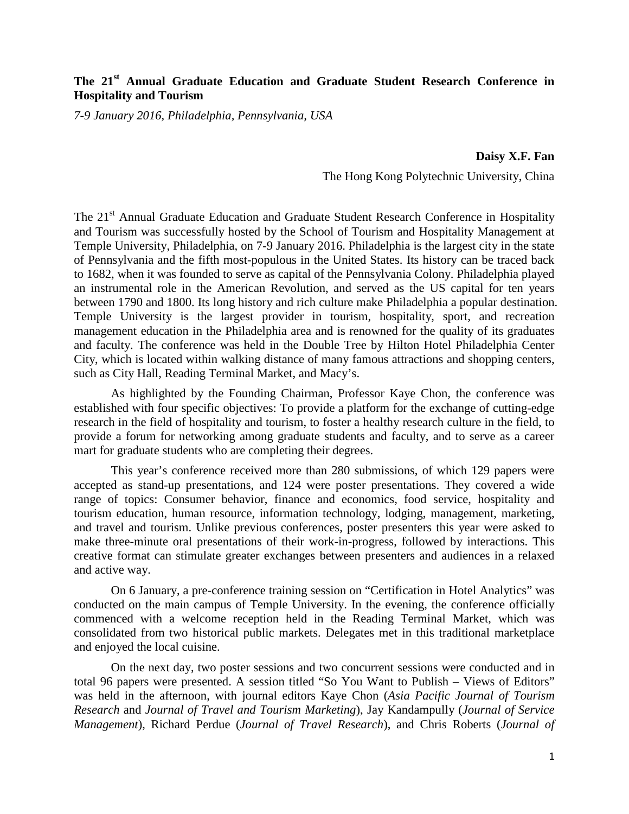## **The 21st Annual Graduate Education and Graduate Student Research Conference in Hospitality and Tourism**

*7-9 January 2016, Philadelphia, Pennsylvania, USA*

## **Daisy X.F. Fan**

The Hong Kong Polytechnic University, China

The 21<sup>st</sup> Annual Graduate Education and Graduate Student Research Conference in Hospitality and Tourism was successfully hosted by the School of Tourism and Hospitality Management at Temple University, Philadelphia, on 7-9 January 2016. Philadelphia is the largest city in the state of Pennsylvania and the fifth most-populous in the United States. Its history can be traced back to 1682, when it was founded to serve as capital of the Pennsylvania Colony. Philadelphia played an instrumental role in the American Revolution, and served as the US capital for ten years between 1790 and 1800. Its long history and rich culture make Philadelphia a popular destination. Temple University is the largest provider in tourism, hospitality, sport, and recreation management education in the Philadelphia area and is renowned for the quality of its graduates and faculty. The conference was held in the Double Tree by Hilton Hotel Philadelphia Center City, which is located within walking distance of many famous attractions and shopping centers, such as City Hall, Reading Terminal Market, and Macy's.

As highlighted by the Founding Chairman, Professor Kaye Chon, the conference was established with four specific objectives: To provide a platform for the exchange of cutting-edge research in the field of hospitality and tourism, to foster a healthy research culture in the field, to provide a forum for networking among graduate students and faculty, and to serve as a career mart for graduate students who are completing their degrees.

This year's conference received more than 280 submissions, of which 129 papers were accepted as stand-up presentations, and 124 were poster presentations. They covered a wide range of topics: Consumer behavior, finance and economics, food service, hospitality and tourism education, human resource, information technology, lodging, management, marketing, and travel and tourism. Unlike previous conferences, poster presenters this year were asked to make three-minute oral presentations of their work-in-progress, followed by interactions. This creative format can stimulate greater exchanges between presenters and audiences in a relaxed and active way.

On 6 January, a pre-conference training session on "Certification in Hotel Analytics" was conducted on the main campus of Temple University. In the evening, the conference officially commenced with a welcome reception held in the Reading Terminal Market, which was consolidated from two historical public markets. Delegates met in this traditional marketplace and enjoyed the local cuisine.

On the next day, two poster sessions and two concurrent sessions were conducted and in total 96 papers were presented. A session titled "So You Want to Publish – Views of Editors" was held in the afternoon, with journal editors Kaye Chon (*Asia Pacific Journal of Tourism Research* and *Journal of Travel and Tourism Marketing*), Jay Kandampully (*Journal of Service Management*), Richard Perdue (*Journal of Travel Research*), and Chris Roberts (*Journal of*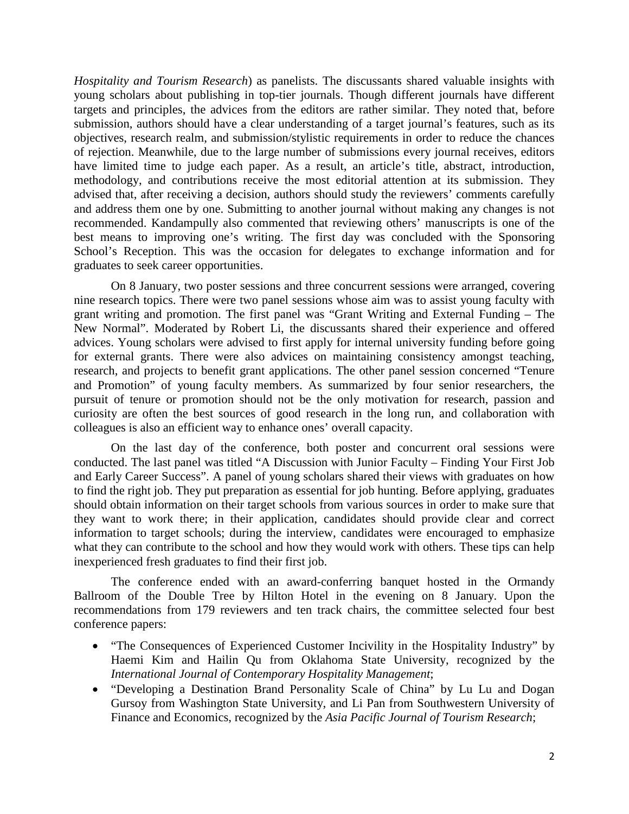*Hospitality and Tourism Research*) as panelists. The discussants shared valuable insights with young scholars about publishing in top-tier journals. Though different journals have different targets and principles, the advices from the editors are rather similar. They noted that, before submission, authors should have a clear understanding of a target journal's features, such as its objectives, research realm, and submission/stylistic requirements in order to reduce the chances of rejection. Meanwhile, due to the large number of submissions every journal receives, editors have limited time to judge each paper. As a result, an article's title, abstract, introduction, methodology, and contributions receive the most editorial attention at its submission. They advised that, after receiving a decision, authors should study the reviewers' comments carefully and address them one by one. Submitting to another journal without making any changes is not recommended. Kandampully also commented that reviewing others' manuscripts is one of the best means to improving one's writing. The first day was concluded with the Sponsoring School's Reception. This was the occasion for delegates to exchange information and for graduates to seek career opportunities.

On 8 January, two poster sessions and three concurrent sessions were arranged, covering nine research topics. There were two panel sessions whose aim was to assist young faculty with grant writing and promotion. The first panel was "Grant Writing and External Funding – The New Normal". Moderated by Robert Li, the discussants shared their experience and offered advices. Young scholars were advised to first apply for internal university funding before going for external grants. There were also advices on maintaining consistency amongst teaching, research, and projects to benefit grant applications. The other panel session concerned "Tenure and Promotion" of young faculty members. As summarized by four senior researchers, the pursuit of tenure or promotion should not be the only motivation for research, passion and curiosity are often the best sources of good research in the long run, and collaboration with colleagues is also an efficient way to enhance ones' overall capacity.

On the last day of the conference, both poster and concurrent oral sessions were conducted. The last panel was titled "A Discussion with Junior Faculty – Finding Your First Job and Early Career Success". A panel of young scholars shared their views with graduates on how to find the right job. They put preparation as essential for job hunting. Before applying, graduates should obtain information on their target schools from various sources in order to make sure that they want to work there; in their application, candidates should provide clear and correct information to target schools; during the interview, candidates were encouraged to emphasize what they can contribute to the school and how they would work with others. These tips can help inexperienced fresh graduates to find their first job.

The conference ended with an award-conferring banquet hosted in the Ormandy Ballroom of the Double Tree by Hilton Hotel in the evening on 8 January. Upon the recommendations from 179 reviewers and ten track chairs, the committee selected four best conference papers:

- "The Consequences of Experienced Customer Incivility in the Hospitality Industry" by Haemi Kim and Hailin Qu from Oklahoma State University, recognized by the *International Journal of Contemporary Hospitality Management*;
- "Developing a Destination Brand Personality Scale of China" by Lu Lu and Dogan Gursoy from Washington State University, and Li Pan from Southwestern University of Finance and Economics, recognized by the *Asia Pacific Journal of Tourism Research*;